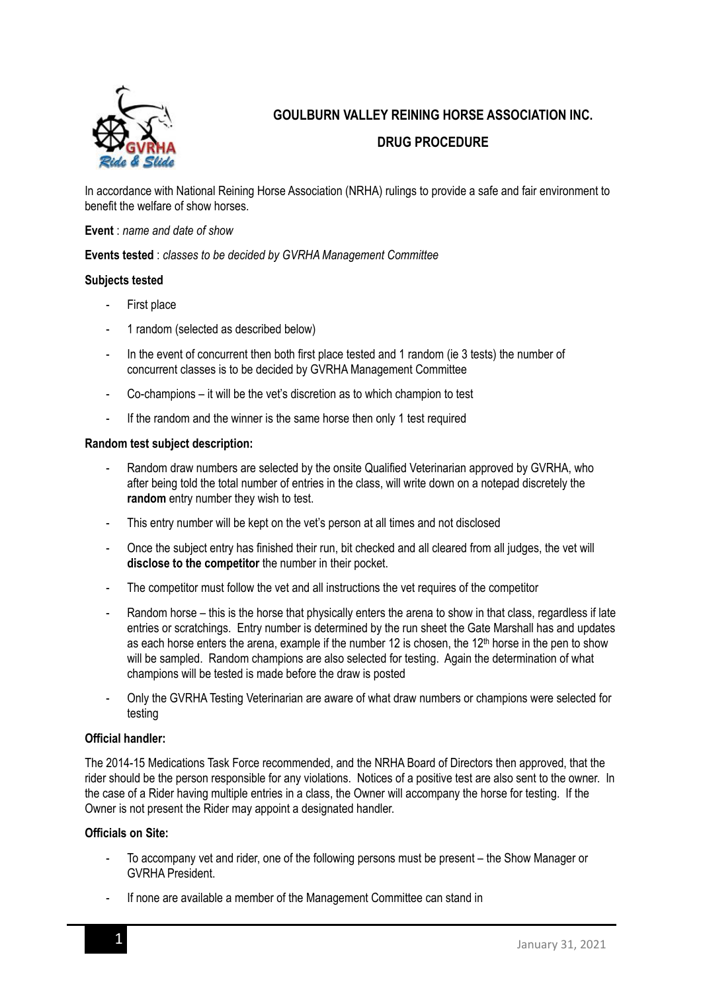

# **GOULBURN VALLEY REINING HORSE ASSOCIATION INC.**

## **DRUG PROCEDURE**

In accordance with National Reining Horse Association (NRHA) rulings to provide a safe and fair environment to benefit the welfare of show horses.

#### **Event** : *name and date of show*

**Events tested** : *classes to be decided by GVRHA Management Committee*

### **Subjects tested**

- First place
- 1 random (selected as described below)
- In the event of concurrent then both first place tested and 1 random (ie 3 tests) the number of concurrent classes is to be decided by GVRHA Management Committee
- Co-champions it will be the vet's discretion as to which champion to test
- If the random and the winner is the same horse then only 1 test required

#### **Random test subject description:**

- Random draw numbers are selected by the onsite Qualified Veterinarian approved by GVRHA, who after being told the total number of entries in the class, will write down on a notepad discretely the **random** entry number they wish to test.
- This entry number will be kept on the vet's person at all times and not disclosed
- Once the subject entry has finished their run, bit checked and all cleared from all judges, the vet will **disclose to the competitor** the number in their pocket.
- The competitor must follow the vet and all instructions the vet requires of the competitor
- Random horse this is the horse that physically enters the arena to show in that class, regardless if late entries or scratchings. Entry number is determined by the run sheet the Gate Marshall has and updates as each horse enters the arena, example if the number 12 is chosen, the 12<sup>th</sup> horse in the pen to show will be sampled. Random champions are also selected for testing. Again the determination of what champions will be tested is made before the draw is posted
- Only the GVRHA Testing Veterinarian are aware of what draw numbers or champions were selected for testing

#### **Official handler:**

The 2014-15 Medications Task Force recommended, and the NRHA Board of Directors then approved, that the rider should be the person responsible for any violations. Notices of a positive test are also sent to the owner. In the case of a Rider having multiple entries in a class, the Owner will accompany the horse for testing. If the Owner is not present the Rider may appoint a designated handler.

#### **Officials on Site:**

- To accompany vet and rider, one of the following persons must be present the Show Manager or GVRHA President.
- If none are available a member of the Management Committee can stand in